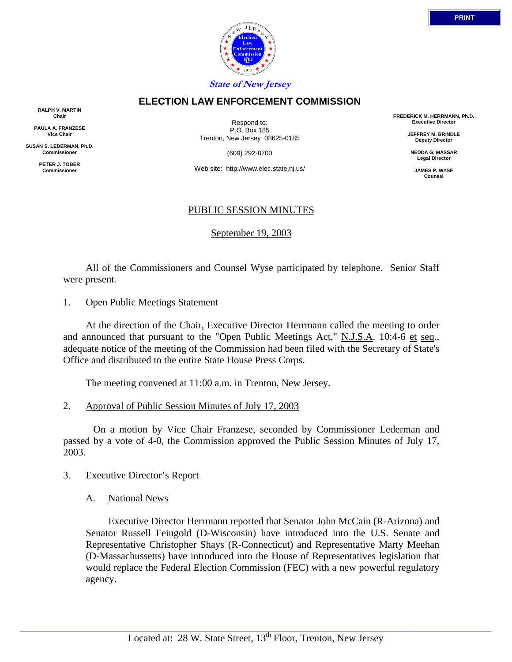

## **ELECTION LAW ENFORCEMENT COMMISSION**

**RALPH V. MARTIN Chair**

**PAULA A. FRANZESE Vice Chair**

**SUSAN S. LEDERMAN, Ph.D. Commissioner**

> **PETER J. TOBER Commissioner**

Respond to: P.O. Box 185 Trenton, New Jersey 08625-0185

(609) 292-8700

Web site: http://www.elec.state.nj.us/

# PUBLIC SESSION MINUTES

September 19, 2003

 All of the Commissioners and Counsel Wyse participated by telephone. Senior Staff were present.

1. Open Public Meetings Statement

 At the direction of the Chair, Executive Director Herrmann called the meeting to order and announced that pursuant to the "Open Public Meetings Act," N.J.S.A. 10:4-6 et seq., adequate notice of the meeting of the Commission had been filed with the Secretary of State's Office and distributed to the entire State House Press Corps.

The meeting convened at 11:00 a.m. in Trenton, New Jersey.

2. Approval of Public Session Minutes of July 17, 2003

 On a motion by Vice Chair Franzese, seconded by Commissioner Lederman and passed by a vote of 4-0, the Commission approved the Public Session Minutes of July 17, 2003.

- 3. Executive Director's Report
	- A. National News

 Executive Director Herrmann reported that Senator John McCain (R-Arizona) and Senator Russell Feingold (D-Wisconsin) have introduced into the U.S. Senate and Representative Christopher Shays (R-Connecticut) and Representative Marty Meehan (D-Massachussetts) have introduced into the House of Representatives legislation that would replace the Federal Election Commission (FEC) with a new powerful regulatory agency.

**PRINT**

**FREDERICK M. HERRMANN, Ph.D. Executive Director JEFFREY M. BRINDLE Deputy Director NEDDA G. MASSAR Legal Director JAMES P. WYSE Counsel**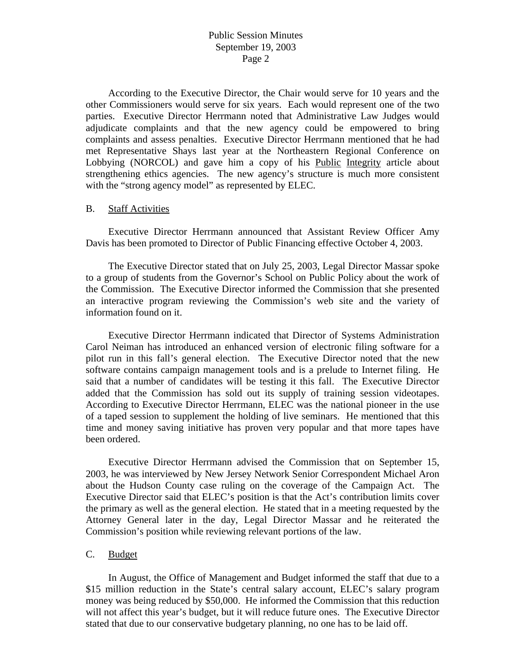# Public Session Minutes September 19, 2003 Page 2

 According to the Executive Director, the Chair would serve for 10 years and the other Commissioners would serve for six years. Each would represent one of the two parties. Executive Director Herrmann noted that Administrative Law Judges would adjudicate complaints and that the new agency could be empowered to bring complaints and assess penalties. Executive Director Herrmann mentioned that he had met Representative Shays last year at the Northeastern Regional Conference on Lobbying (NORCOL) and gave him a copy of his Public Integrity article about strengthening ethics agencies. The new agency's structure is much more consistent with the "strong agency model" as represented by ELEC.

#### B. Staff Activities

Executive Director Herrmann announced that Assistant Review Officer Amy Davis has been promoted to Director of Public Financing effective October 4, 2003.

The Executive Director stated that on July 25, 2003, Legal Director Massar spoke to a group of students from the Governor's School on Public Policy about the work of the Commission. The Executive Director informed the Commission that she presented an interactive program reviewing the Commission's web site and the variety of information found on it.

Executive Director Herrmann indicated that Director of Systems Administration Carol Neiman has introduced an enhanced version of electronic filing software for a pilot run in this fall's general election. The Executive Director noted that the new software contains campaign management tools and is a prelude to Internet filing. He said that a number of candidates will be testing it this fall. The Executive Director added that the Commission has sold out its supply of training session videotapes. According to Executive Director Herrmann, ELEC was the national pioneer in the use of a taped session to supplement the holding of live seminars. He mentioned that this time and money saving initiative has proven very popular and that more tapes have been ordered.

Executive Director Herrmann advised the Commission that on September 15, 2003, he was interviewed by New Jersey Network Senior Correspondent Michael Aron about the Hudson County case ruling on the coverage of the Campaign Act. The Executive Director said that ELEC's position is that the Act's contribution limits cover the primary as well as the general election. He stated that in a meeting requested by the Attorney General later in the day, Legal Director Massar and he reiterated the Commission's position while reviewing relevant portions of the law.

#### C. Budget

 In August, the Office of Management and Budget informed the staff that due to a \$15 million reduction in the State's central salary account, ELEC's salary program money was being reduced by \$50,000. He informed the Commission that this reduction will not affect this year's budget, but it will reduce future ones. The Executive Director stated that due to our conservative budgetary planning, no one has to be laid off.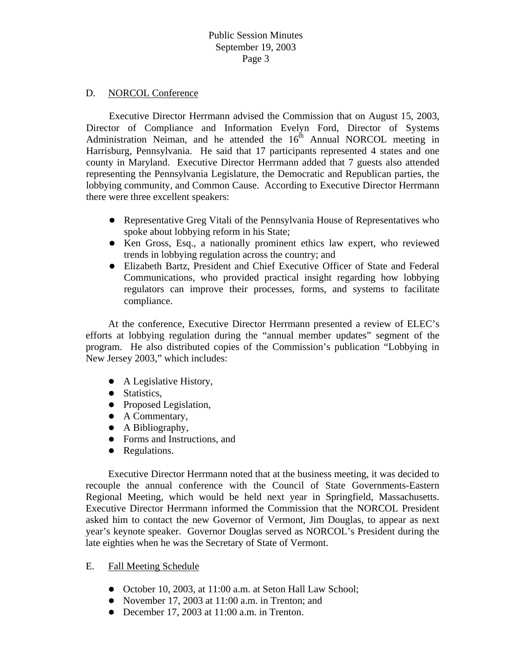## D. NORCOL Conference

Executive Director Herrmann advised the Commission that on August 15, 2003, Director of Compliance and Information Evelyn Ford, Director of Systems Administration Neiman, and he attended the  $16<sup>th</sup>$  Annual NORCOL meeting in Harrisburg, Pennsylvania. He said that 17 participants represented 4 states and one county in Maryland. Executive Director Herrmann added that 7 guests also attended representing the Pennsylvania Legislature, the Democratic and Republican parties, the lobbying community, and Common Cause. According to Executive Director Herrmann there were three excellent speakers:

- Representative Greg Vitali of the Pennsylvania House of Representatives who spoke about lobbying reform in his State;
- Ken Gross, Esq., a nationally prominent ethics law expert, who reviewed trends in lobbying regulation across the country; and
- Elizabeth Bartz, President and Chief Executive Officer of State and Federal Communications, who provided practical insight regarding how lobbying regulators can improve their processes, forms, and systems to facilitate compliance.

 At the conference, Executive Director Herrmann presented a review of ELEC's efforts at lobbying regulation during the "annual member updates" segment of the program. He also distributed copies of the Commission's publication "Lobbying in New Jersey 2003," which includes:

- $\bullet$  A Legislative History,
- Statistics,
- Proposed Legislation,
- $\bullet$  A Commentary,
- $\bullet$  A Bibliography,
- Forms and Instructions, and
- Regulations.

 Executive Director Herrmann noted that at the business meeting, it was decided to recouple the annual conference with the Council of State Governments-Eastern Regional Meeting, which would be held next year in Springfield, Massachusetts. Executive Director Herrmann informed the Commission that the NORCOL President asked him to contact the new Governor of Vermont, Jim Douglas, to appear as next year's keynote speaker. Governor Douglas served as NORCOL's President during the late eighties when he was the Secretary of State of Vermont.

# E. Fall Meeting Schedule

- October 10, 2003, at 11:00 a.m. at Seton Hall Law School;
- November 17, 2003 at  $11:00$  a.m. in Trenton; and
- $\bullet$  December 17, 2003 at 11:00 a.m. in Trenton.